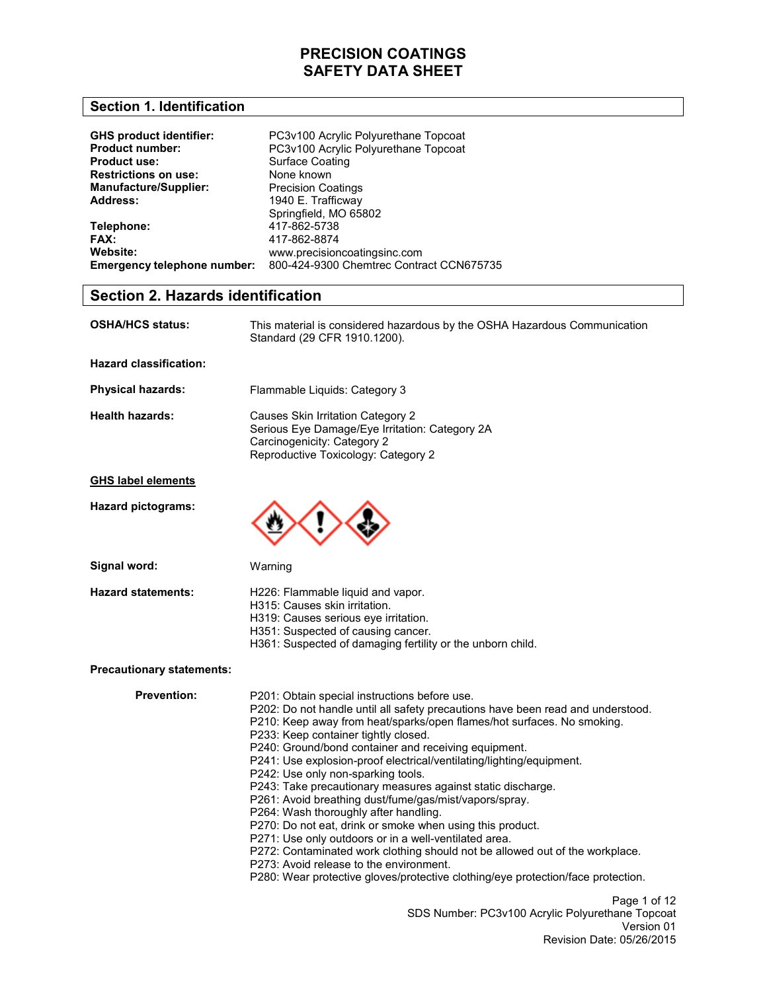### **Section 1. Identification**

| <b>GHS product identifier:</b><br><b>Product number:</b> | PC3v100 Acrylic Polyurethane Topcoat<br>PC3v100 Acrylic Polyurethane Topcoat |
|----------------------------------------------------------|------------------------------------------------------------------------------|
| <b>Product use:</b>                                      | Surface Coating                                                              |
| <b>Restrictions on use:</b>                              | None known                                                                   |
| <b>Manufacture/Supplier:</b>                             | <b>Precision Coatings</b>                                                    |
| Address:                                                 | 1940 E. Trafficway                                                           |
|                                                          | Springfield, MO 65802                                                        |
| Telephone:                                               | 417-862-5738                                                                 |
| FAX:                                                     | 417-862-8874                                                                 |
| Website:                                                 | www.precisioncoatingsinc.com                                                 |
| Emergency telephone number:                              | 800-424-9300 Chemtrec Contract CCN675735                                     |

## **Section 2. Hazards identification**

| <b>OSHA/HCS status:</b>       | This material is considered hazardous by the OSHA Hazardous Communication<br>Standard (29 CFR 1910.1200).                                                 |
|-------------------------------|-----------------------------------------------------------------------------------------------------------------------------------------------------------|
| <b>Hazard classification:</b> |                                                                                                                                                           |
| <b>Physical hazards:</b>      | Flammable Liquids: Category 3                                                                                                                             |
| Health hazards:               | Causes Skin Irritation Category 2<br>Serious Eye Damage/Eye Irritation: Category 2A<br>Carcinogenicity: Category 2<br>Reproductive Toxicology: Category 2 |
| <b>GHS label elements</b>     |                                                                                                                                                           |
| Hazard pictograms:            |                                                                                                                                                           |

**Signal word:** 

Warning

**Hazard statements:** 

- H226: Flammable liquid and vapor.
- H315: Causes skin irritation.
- H319: Causes serious eye irritation.
- H351: Suspected of causing cancer.
- H361: Suspected of damaging fertility or the unborn child.

### **Precautionary statements:**

**Prevention:** 

Page 1 of 12 SDS Number: PC3v100 Acrylic Polyurethane Topcoat Version 01 Revision Date: 05/26/2015 P201: Obtain special instructions before use. P202: Do not handle until all safety precautions have been read and understood. P210: Keep away from heat/sparks/open flames/hot surfaces. No smoking. P233: Keep container tightly closed. P240: Ground/bond container and receiving equipment. P241: Use explosion-proof electrical/ventilating/lighting/equipment. P242: Use only non-sparking tools. P243: Take precautionary measures against static discharge. P261: Avoid breathing dust/fume/gas/mist/vapors/spray. P264: Wash thoroughly after handling. P270: Do not eat, drink or smoke when using this product. P271: Use only outdoors or in a well-ventilated area. P272: Contaminated work clothing should not be allowed out of the workplace. P273: Avoid release to the environment. P280: Wear protective gloves/protective clothing/eye protection/face protection.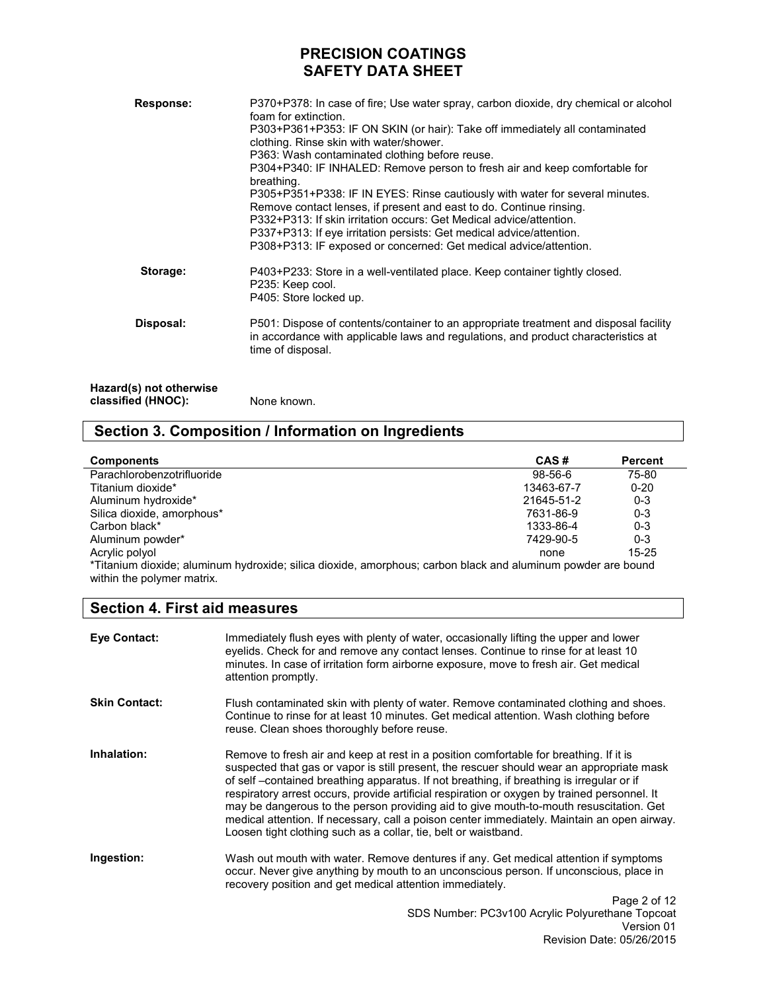| Response:                                     | P370+P378: In case of fire; Use water spray, carbon dioxide, dry chemical or alcohol<br>foam for extinction.<br>P303+P361+P353: IF ON SKIN (or hair): Take off immediately all contaminated<br>clothing. Rinse skin with water/shower.<br>P363: Wash contaminated clothing before reuse.<br>P304+P340: IF INHALED: Remove person to fresh air and keep comfortable for<br>breathing.<br>P305+P351+P338: IF IN EYES: Rinse cautiously with water for several minutes.<br>Remove contact lenses, if present and east to do. Continue rinsing.<br>P332+P313: If skin irritation occurs: Get Medical advice/attention.<br>P337+P313: If eye irritation persists: Get medical advice/attention.<br>P308+P313: IF exposed or concerned: Get medical advice/attention. |
|-----------------------------------------------|-----------------------------------------------------------------------------------------------------------------------------------------------------------------------------------------------------------------------------------------------------------------------------------------------------------------------------------------------------------------------------------------------------------------------------------------------------------------------------------------------------------------------------------------------------------------------------------------------------------------------------------------------------------------------------------------------------------------------------------------------------------------|
| Storage:                                      | P403+P233: Store in a well-ventilated place. Keep container tightly closed.<br>P235: Keep cool.<br>P405: Store locked up.                                                                                                                                                                                                                                                                                                                                                                                                                                                                                                                                                                                                                                       |
| Disposal:                                     | P501: Dispose of contents/container to an appropriate treatment and disposal facility<br>in accordance with applicable laws and regulations, and product characteristics at<br>time of disposal.                                                                                                                                                                                                                                                                                                                                                                                                                                                                                                                                                                |
| Hazard(s) not otherwise<br>classified (HNOC): | None known.                                                                                                                                                                                                                                                                                                                                                                                                                                                                                                                                                                                                                                                                                                                                                     |

# **Section 3. Composition / Information on Ingredients**

| <b>Components</b>                                                                                            | CAS#       | <b>Percent</b> |
|--------------------------------------------------------------------------------------------------------------|------------|----------------|
| Parachlorobenzotrifluoride                                                                                   | $98-56-6$  | 75-80          |
| Titanium dioxide*                                                                                            | 13463-67-7 | $0 - 20$       |
| Aluminum hydroxide*                                                                                          | 21645-51-2 | $0 - 3$        |
| Silica dioxide, amorphous*                                                                                   | 7631-86-9  | $0 - 3$        |
| Carbon black*                                                                                                | 1333-86-4  | $0 - 3$        |
| Aluminum powder*                                                                                             | 7429-90-5  | $0 - 3$        |
| Acrylic polyol                                                                                               | none       | $15 - 25$      |
| *Titanium dioxide; aluminum hydroxide; silica dioxide, amorphous; carbon black and aluminum powder are bound |            |                |
| within the polymer matrix.                                                                                   |            |                |

## **Section 4. First aid measures**

| <b>Eve Contact:</b>  | Immediately flush eyes with plenty of water, occasionally lifting the upper and lower<br>eyelids. Check for and remove any contact lenses. Continue to rinse for at least 10<br>minutes. In case of irritation form airborne exposure, move to fresh air. Get medical<br>attention promptly.                                                                                                                                                                                                                                                                                                                                                 |
|----------------------|----------------------------------------------------------------------------------------------------------------------------------------------------------------------------------------------------------------------------------------------------------------------------------------------------------------------------------------------------------------------------------------------------------------------------------------------------------------------------------------------------------------------------------------------------------------------------------------------------------------------------------------------|
| <b>Skin Contact:</b> | Flush contaminated skin with plenty of water. Remove contaminated clothing and shoes.<br>Continue to rinse for at least 10 minutes. Get medical attention. Wash clothing before<br>reuse. Clean shoes thoroughly before reuse.                                                                                                                                                                                                                                                                                                                                                                                                               |
| Inhalation:          | Remove to fresh air and keep at rest in a position comfortable for breathing. If it is<br>suspected that gas or vapor is still present, the rescuer should wear an appropriate mask<br>of self –contained breathing apparatus. If not breathing, if breathing is irregular or if<br>respiratory arrest occurs, provide artificial respiration or oxygen by trained personnel. It<br>may be dangerous to the person providing aid to give mouth-to-mouth resuscitation. Get<br>medical attention. If necessary, call a poison center immediately. Maintain an open airway.<br>Loosen tight clothing such as a collar, tie, belt or waistband. |
| Ingestion:           | Wash out mouth with water. Remove dentures if any. Get medical attention if symptoms<br>occur. Never give anything by mouth to an unconscious person. If unconscious, place in<br>recovery position and get medical attention immediately.                                                                                                                                                                                                                                                                                                                                                                                                   |
|                      | Page 2 of 12<br>SDS Number: PC3v100 Acrylic Polyurethane Topcoat                                                                                                                                                                                                                                                                                                                                                                                                                                                                                                                                                                             |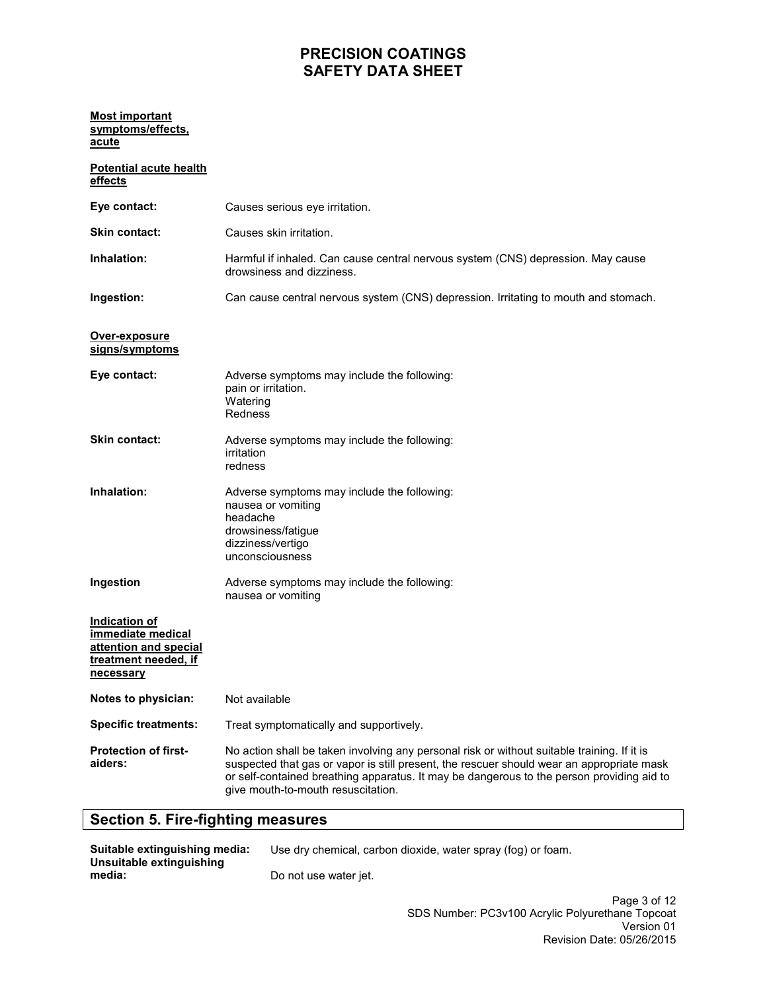### **Most important symptoms/effects, acute**

| <b>Potential acute health</b><br>effects                                                         |                                                                                                                                                                                                                                                                                                                             |
|--------------------------------------------------------------------------------------------------|-----------------------------------------------------------------------------------------------------------------------------------------------------------------------------------------------------------------------------------------------------------------------------------------------------------------------------|
| Eye contact:                                                                                     | Causes serious eye irritation.                                                                                                                                                                                                                                                                                              |
| <b>Skin contact:</b>                                                                             | Causes skin irritation.                                                                                                                                                                                                                                                                                                     |
| Inhalation:                                                                                      | Harmful if inhaled. Can cause central nervous system (CNS) depression. May cause<br>drowsiness and dizziness.                                                                                                                                                                                                               |
| Ingestion:                                                                                       | Can cause central nervous system (CNS) depression. Irritating to mouth and stomach.                                                                                                                                                                                                                                         |
| Over-exposure<br>signs/symptoms                                                                  |                                                                                                                                                                                                                                                                                                                             |
| Eye contact:                                                                                     | Adverse symptoms may include the following:<br>pain or irritation.<br>Watering<br>Redness                                                                                                                                                                                                                                   |
| <b>Skin contact:</b>                                                                             | Adverse symptoms may include the following:<br>irritation<br>redness                                                                                                                                                                                                                                                        |
| Inhalation:                                                                                      | Adverse symptoms may include the following:<br>nausea or vomiting<br>headache<br>drowsiness/fatigue<br>dizziness/vertigo<br>unconsciousness                                                                                                                                                                                 |
| Ingestion                                                                                        | Adverse symptoms may include the following:<br>nausea or vomiting                                                                                                                                                                                                                                                           |
| Indication of<br>immediate medical<br>attention and special<br>treatment needed, if<br>necessary |                                                                                                                                                                                                                                                                                                                             |
| Notes to physician:                                                                              | Not available                                                                                                                                                                                                                                                                                                               |
| <b>Specific treatments:</b>                                                                      | Treat symptomatically and supportively.                                                                                                                                                                                                                                                                                     |
| <b>Protection of first-</b><br>aiders:                                                           | No action shall be taken involving any personal risk or without suitable training. If it is<br>suspected that gas or vapor is still present, the rescuer should wear an appropriate mask<br>or self-contained breathing apparatus. It may be dangerous to the person providing aid to<br>give mouth-to-mouth resuscitation. |

# **Section 5. Fire-fighting measures**

| Suitable extinguishing media:<br>Unsuitable extinguishing | Use dry chemical, carbon dioxide, water spray (fog) or foam. |
|-----------------------------------------------------------|--------------------------------------------------------------|
| media:                                                    | Do not use water jet.                                        |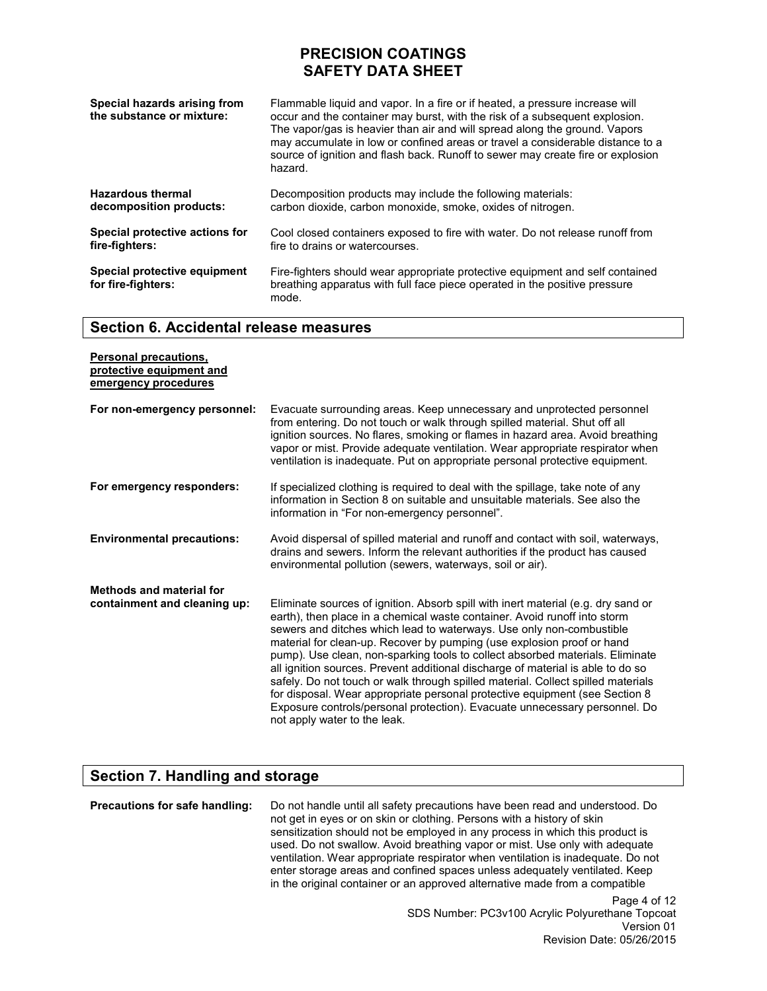| Special hazards arising from<br>the substance or mixture: | Flammable liquid and vapor. In a fire or if heated, a pressure increase will<br>occur and the container may burst, with the risk of a subsequent explosion.<br>The vapor/gas is heavier than air and will spread along the ground. Vapors<br>may accumulate in low or confined areas or travel a considerable distance to a<br>source of ignition and flash back. Runoff to sewer may create fire or explosion<br>hazard. |
|-----------------------------------------------------------|---------------------------------------------------------------------------------------------------------------------------------------------------------------------------------------------------------------------------------------------------------------------------------------------------------------------------------------------------------------------------------------------------------------------------|
| <b>Hazardous thermal</b>                                  | Decomposition products may include the following materials:                                                                                                                                                                                                                                                                                                                                                               |
| decomposition products:                                   | carbon dioxide, carbon monoxide, smoke, oxides of nitrogen.                                                                                                                                                                                                                                                                                                                                                               |
| Special protective actions for                            | Cool closed containers exposed to fire with water. Do not release runoff from                                                                                                                                                                                                                                                                                                                                             |
| fire-fighters:                                            | fire to drains or watercourses.                                                                                                                                                                                                                                                                                                                                                                                           |
| Special protective equipment<br>for fire-fighters:        | Fire-fighters should wear appropriate protective equipment and self contained<br>breathing apparatus with full face piece operated in the positive pressure<br>mode.                                                                                                                                                                                                                                                      |

### **Section 6. Accidental release measures**

| <b>Personal precautions,</b><br>protective equipment and<br>emergency procedures |                                                                                                                                                                                                                                                                                                                                                                                                                                                                                                                                                                                                                                                                                                                                                                       |
|----------------------------------------------------------------------------------|-----------------------------------------------------------------------------------------------------------------------------------------------------------------------------------------------------------------------------------------------------------------------------------------------------------------------------------------------------------------------------------------------------------------------------------------------------------------------------------------------------------------------------------------------------------------------------------------------------------------------------------------------------------------------------------------------------------------------------------------------------------------------|
| For non-emergency personnel:                                                     | Evacuate surrounding areas. Keep unnecessary and unprotected personnel<br>from entering. Do not touch or walk through spilled material. Shut off all<br>ignition sources. No flares, smoking or flames in hazard area. Avoid breathing<br>vapor or mist. Provide adequate ventilation. Wear appropriate respirator when<br>ventilation is inadequate. Put on appropriate personal protective equipment.                                                                                                                                                                                                                                                                                                                                                               |
| For emergency responders:                                                        | If specialized clothing is required to deal with the spillage, take note of any<br>information in Section 8 on suitable and unsuitable materials. See also the<br>information in "For non-emergency personnel".                                                                                                                                                                                                                                                                                                                                                                                                                                                                                                                                                       |
| <b>Environmental precautions:</b>                                                | Avoid dispersal of spilled material and runoff and contact with soil, waterways,<br>drains and sewers. Inform the relevant authorities if the product has caused<br>environmental pollution (sewers, waterways, soil or air).                                                                                                                                                                                                                                                                                                                                                                                                                                                                                                                                         |
| <b>Methods and material for</b><br>containment and cleaning up:                  | Eliminate sources of ignition. Absorb spill with inert material (e.g. dry sand or<br>earth), then place in a chemical waste container. Avoid runoff into storm<br>sewers and ditches which lead to waterways. Use only non-combustible<br>material for clean-up. Recover by pumping (use explosion proof or hand<br>pump). Use clean, non-sparking tools to collect absorbed materials. Eliminate<br>all ignition sources. Prevent additional discharge of material is able to do so<br>safely. Do not touch or walk through spilled material. Collect spilled materials<br>for disposal. Wear appropriate personal protective equipment (see Section 8<br>Exposure controls/personal protection). Evacuate unnecessary personnel. Do<br>not apply water to the leak. |

## **Section 7. Handling and storage**

Page 4 of 12 **Precautions for safe handling:** Do not handle until all safety precautions have been read and understood. Do not get in eyes or on skin or clothing. Persons with a history of skin sensitization should not be employed in any process in which this product is used. Do not swallow. Avoid breathing vapor or mist. Use only with adequate ventilation. Wear appropriate respirator when ventilation is inadequate. Do not enter storage areas and confined spaces unless adequately ventilated. Keep in the original container or an approved alternative made from a compatible

SDS Number: PC3v100 Acrylic Polyurethane Topcoat Version 01 Revision Date: 05/26/2015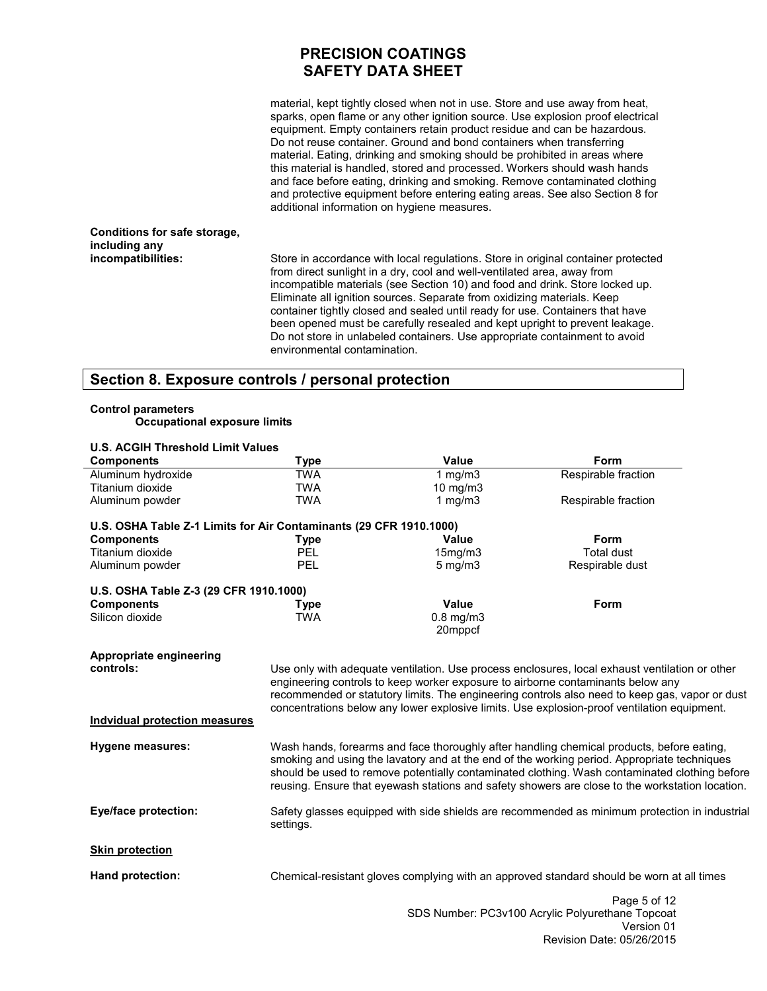material, kept tightly closed when not in use. Store and use away from heat, sparks, open flame or any other ignition source. Use explosion proof electrical equipment. Empty containers retain product residue and can be hazardous. Do not reuse container. Ground and bond containers when transferring material. Eating, drinking and smoking should be prohibited in areas where this material is handled, stored and processed. Workers should wash hands and face before eating, drinking and smoking. Remove contaminated clothing and protective equipment before entering eating areas. See also Section 8 for additional information on hygiene measures.

#### **Conditions for safe storage, including any incompatibilities:**

Store in accordance with local regulations. Store in original container protected from direct sunlight in a dry, cool and well-ventilated area, away from incompatible materials (see Section 10) and food and drink. Store locked up. Eliminate all ignition sources. Separate from oxidizing materials. Keep container tightly closed and sealed until ready for use. Containers that have been opened must be carefully resealed and kept upright to prevent leakage. Do not store in unlabeled containers. Use appropriate containment to avoid environmental contamination.

## **Section 8. Exposure controls / personal protection**

#### **Control parameters Occupational exposure limits**

**U.S. ACGIH Threshold Limit Values** 

| <b>Components</b>                                                  | <b>Type</b> | Value                                                                           | Form                                                                                                                                                                                             |  |
|--------------------------------------------------------------------|-------------|---------------------------------------------------------------------------------|--------------------------------------------------------------------------------------------------------------------------------------------------------------------------------------------------|--|
| Aluminum hydroxide                                                 | <b>TWA</b>  | 1 $mg/m3$                                                                       | Respirable fraction                                                                                                                                                                              |  |
| Titanium dioxide                                                   | <b>TWA</b>  | $10 \text{ mg/m}$                                                               |                                                                                                                                                                                                  |  |
| Aluminum powder                                                    | <b>TWA</b>  | 1 mg/m $3$                                                                      | Respirable fraction                                                                                                                                                                              |  |
| U.S. OSHA Table Z-1 Limits for Air Contaminants (29 CFR 1910.1000) |             |                                                                                 |                                                                                                                                                                                                  |  |
| <b>Components</b>                                                  | <b>Type</b> | <b>Value</b>                                                                    | Form                                                                                                                                                                                             |  |
| Titanium dioxide                                                   | <b>PEL</b>  | 15mg/m3                                                                         | <b>Total dust</b>                                                                                                                                                                                |  |
| Aluminum powder                                                    | <b>PEL</b>  | $5 \text{ mg/m}$                                                                | Respirable dust                                                                                                                                                                                  |  |
| U.S. OSHA Table Z-3 (29 CFR 1910.1000)                             |             |                                                                                 |                                                                                                                                                                                                  |  |
| <b>Components</b>                                                  | <b>Type</b> | <b>Value</b>                                                                    | Form                                                                                                                                                                                             |  |
| Silicon dioxide                                                    | <b>TWA</b>  | $0.8$ mg/m $3$<br>20mppcf                                                       |                                                                                                                                                                                                  |  |
| Appropriate engineering                                            |             |                                                                                 |                                                                                                                                                                                                  |  |
| controls:                                                          |             |                                                                                 | Use only with adequate ventilation. Use process enclosures, local exhaust ventilation or other                                                                                                   |  |
|                                                                    |             | engineering controls to keep worker exposure to airborne contaminants below any |                                                                                                                                                                                                  |  |
|                                                                    |             |                                                                                 | recommended or statutory limits. The engineering controls also need to keep gas, vapor or dust                                                                                                   |  |
|                                                                    |             |                                                                                 | concentrations below any lower explosive limits. Use explosion-proof ventilation equipment.                                                                                                      |  |
| <b>Indvidual protection measures</b>                               |             |                                                                                 |                                                                                                                                                                                                  |  |
| Hygene measures:                                                   |             |                                                                                 | Wash hands, forearms and face thoroughly after handling chemical products, before eating,                                                                                                        |  |
|                                                                    |             |                                                                                 | smoking and using the lavatory and at the end of the working period. Appropriate techniques                                                                                                      |  |
|                                                                    |             |                                                                                 | should be used to remove potentially contaminated clothing. Wash contaminated clothing before<br>reusing. Ensure that eyewash stations and safety showers are close to the workstation location. |  |
|                                                                    |             |                                                                                 |                                                                                                                                                                                                  |  |
| <b>Eye/face protection:</b>                                        | settings.   |                                                                                 | Safety glasses equipped with side shields are recommended as minimum protection in industrial                                                                                                    |  |
| <b>Skin protection</b>                                             |             |                                                                                 |                                                                                                                                                                                                  |  |
| Hand protection:                                                   |             |                                                                                 | Chemical-resistant gloves complying with an approved standard should be worn at all times                                                                                                        |  |
|                                                                    |             |                                                                                 | Page 5 of 12                                                                                                                                                                                     |  |
|                                                                    |             |                                                                                 | SDS Number: PC3v100 Acrylic Polyurethane Topcoat                                                                                                                                                 |  |
|                                                                    |             |                                                                                 | Version 01                                                                                                                                                                                       |  |

Revision Date: 05/26/2015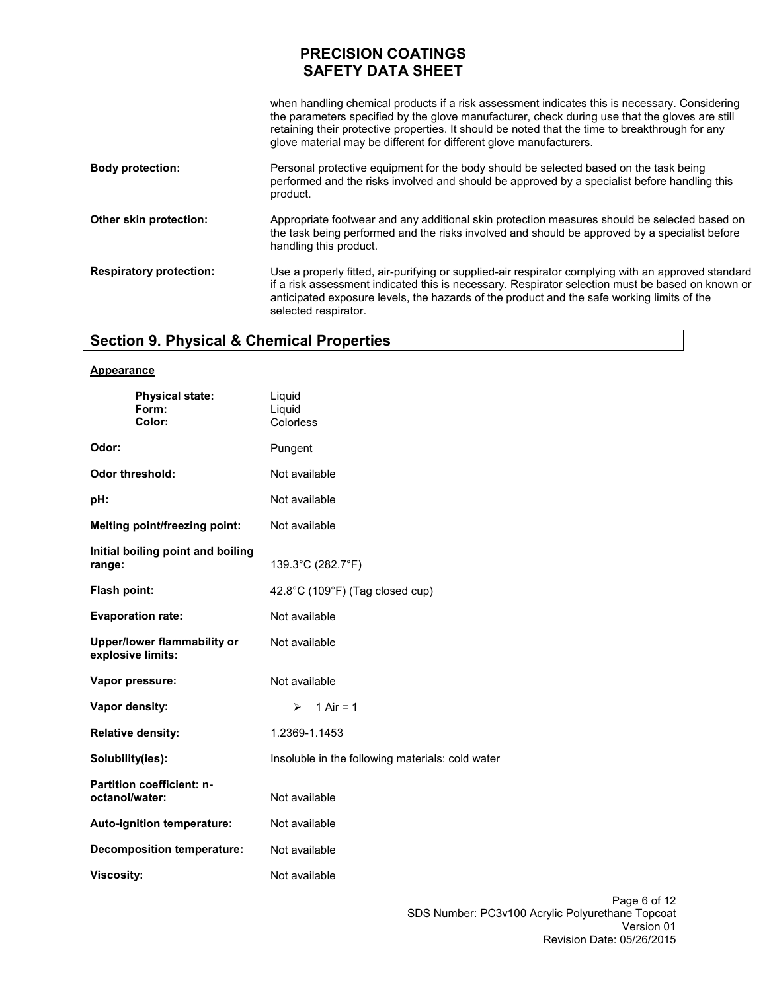| when handling chemical products if a risk assessment indicates this is necessary. Considering<br>the parameters specified by the glove manufacturer, check during use that the gloves are still<br>retaining their protective properties. It should be noted that the time to breakthrough for any<br>glove material may be different for different glove manufacturers. |
|--------------------------------------------------------------------------------------------------------------------------------------------------------------------------------------------------------------------------------------------------------------------------------------------------------------------------------------------------------------------------|
| Personal protective equipment for the body should be selected based on the task being<br>performed and the risks involved and should be approved by a specialist before handling this<br>product.                                                                                                                                                                        |
| Appropriate footwear and any additional skin protection measures should be selected based on<br>the task being performed and the risks involved and should be approved by a specialist before<br>handling this product.                                                                                                                                                  |
| Use a properly fitted, air-purifying or supplied-air respirator complying with an approved standard<br>if a risk assessment indicated this is necessary. Respirator selection must be based on known or<br>anticipated exposure levels, the hazards of the product and the safe working limits of the<br>selected respirator.                                            |
|                                                                                                                                                                                                                                                                                                                                                                          |

# **Section 9. Physical & Chemical Properties**

| <b>Appearance</b>                                       |                                                  |  |
|---------------------------------------------------------|--------------------------------------------------|--|
| <b>Physical state:</b><br>Form:<br>Color:               | Liquid<br>Liquid<br>Colorless                    |  |
| Odor:                                                   | Pungent                                          |  |
| <b>Odor threshold:</b>                                  | Not available                                    |  |
| pH:                                                     | Not available                                    |  |
| Melting point/freezing point:                           | Not available                                    |  |
| Initial boiling point and boiling<br>range:             | 139.3°C (282.7°F)                                |  |
| Flash point:                                            | 42.8°C (109°F) (Tag closed cup)                  |  |
| <b>Evaporation rate:</b>                                | Not available                                    |  |
| <b>Upper/lower flammability or</b><br>explosive limits: | Not available                                    |  |
| Vapor pressure:                                         | Not available                                    |  |
| Vapor density:                                          | 1 Air = $1$<br>$\blacktriangleright$             |  |
| <b>Relative density:</b>                                | 1.2369-1.1453                                    |  |
| Solubility(ies):                                        | Insoluble in the following materials: cold water |  |
| <b>Partition coefficient: n-</b><br>octanol/water:      | Not available                                    |  |
| Auto-ignition temperature:                              | Not available                                    |  |
| <b>Decomposition temperature:</b>                       | Not available                                    |  |
| <b>Viscosity:</b>                                       | Not available                                    |  |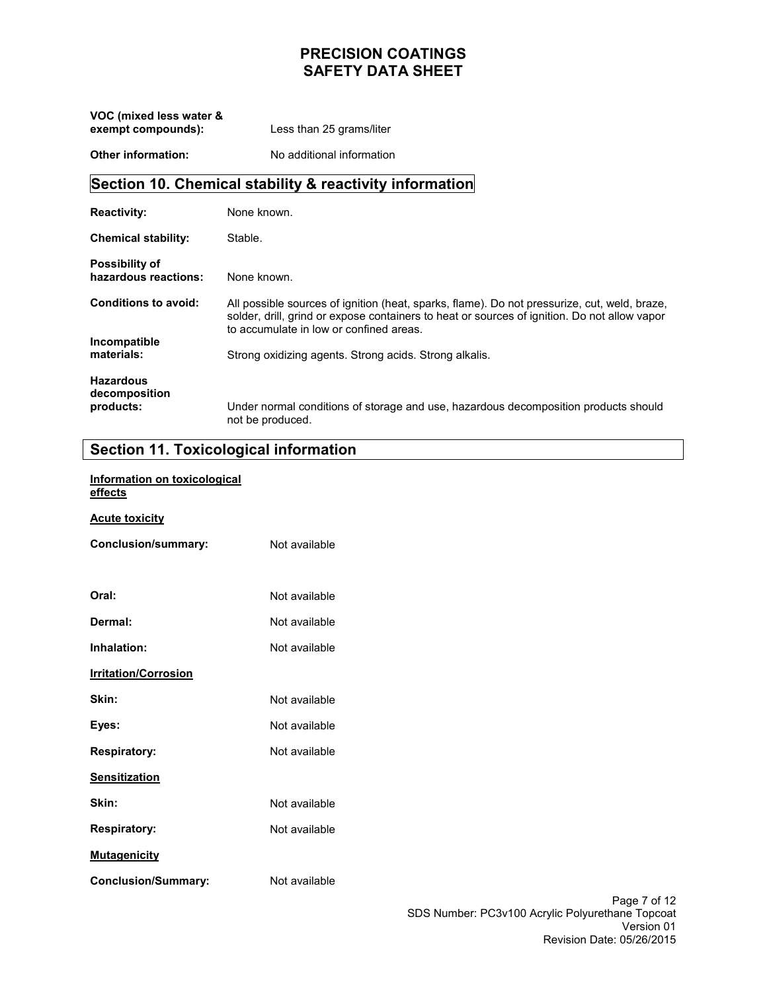**VOC (mixed less water & exempt compounds):**  Less than 25 grams/liter

**Other information:**  No additional information

# **Section 10. Chemical stability & reactivity information**

| <b>Reactivity:</b>                            | None known.                                                                                                                                                                                                                             |
|-----------------------------------------------|-----------------------------------------------------------------------------------------------------------------------------------------------------------------------------------------------------------------------------------------|
| <b>Chemical stability:</b>                    | Stable.                                                                                                                                                                                                                                 |
| <b>Possibility of</b><br>hazardous reactions: | None known.                                                                                                                                                                                                                             |
| <b>Conditions to avoid:</b>                   | All possible sources of ignition (heat, sparks, flame). Do not pressurize, cut, weld, braze,<br>solder, drill, grind or expose containers to heat or sources of ignition. Do not allow vapor<br>to accumulate in low or confined areas. |
| Incompatible<br>materials:                    | Strong oxidizing agents. Strong acids. Strong alkalis.                                                                                                                                                                                  |
| <b>Hazardous</b><br>decomposition             |                                                                                                                                                                                                                                         |
| products:                                     | Under normal conditions of storage and use, hazardous decomposition products should<br>not be produced.                                                                                                                                 |

## **Section 11. Toxicological information**

| <b>Section 11. Toxicological informations</b> |               |
|-----------------------------------------------|---------------|
| Information on toxicological<br>effects       |               |
| <b>Acute toxicity</b>                         |               |
| <b>Conclusion/summary:</b>                    | Not available |
|                                               |               |
| Oral:                                         | Not available |
| Dermal:                                       | Not available |
| Inhalation:                                   | Not available |
| <b>Irritation/Corrosion</b>                   |               |
| Skin:                                         | Not available |
| Eyes:                                         | Not available |
| <b>Respiratory:</b>                           | Not available |
| <b>Sensitization</b>                          |               |
| Skin:                                         | Not available |
| <b>Respiratory:</b>                           | Not available |
| <b>Mutagenicity</b>                           |               |
| <b>Conclusion/Summary:</b>                    | Not available |
|                                               |               |
|                                               |               |
|                                               |               |

Page 7 of 12 SDS Number: PC3v100 Acrylic Polyurethane Topcoat Version 01 Revision Date: 05/26/2015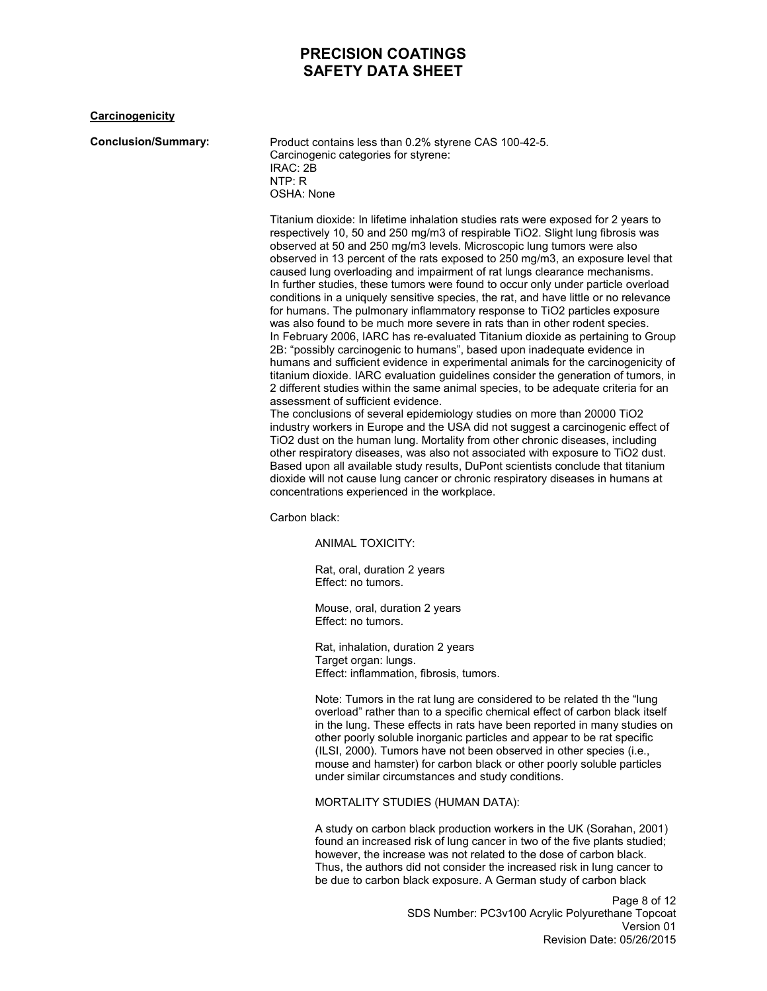### **Carcinogenicity**

**Conclusion/Summary:** Product contains less than 0.2% styrene CAS 100-42-5. Carcinogenic categories for styrene: IRAC: 2B NTP: R OSHA: None

> Titanium dioxide: In lifetime inhalation studies rats were exposed for 2 years to respectively 10, 50 and 250 mg/m3 of respirable TiO2. Slight lung fibrosis was observed at 50 and 250 mg/m3 levels. Microscopic lung tumors were also observed in 13 percent of the rats exposed to 250 mg/m3, an exposure level that caused lung overloading and impairment of rat lungs clearance mechanisms. In further studies, these tumors were found to occur only under particle overload conditions in a uniquely sensitive species, the rat, and have little or no relevance for humans. The pulmonary inflammatory response to TiO2 particles exposure was also found to be much more severe in rats than in other rodent species. In February 2006, IARC has re-evaluated Titanium dioxide as pertaining to Group 2B: "possibly carcinogenic to humans", based upon inadequate evidence in humans and sufficient evidence in experimental animals for the carcinogenicity of titanium dioxide. IARC evaluation guidelines consider the generation of tumors, in 2 different studies within the same animal species, to be adequate criteria for an assessment of sufficient evidence.

The conclusions of several epidemiology studies on more than 20000 TiO2 industry workers in Europe and the USA did not suggest a carcinogenic effect of TiO2 dust on the human lung. Mortality from other chronic diseases, including other respiratory diseases, was also not associated with exposure to TiO2 dust. Based upon all available study results, DuPont scientists conclude that titanium dioxide will not cause lung cancer or chronic respiratory diseases in humans at concentrations experienced in the workplace.

Carbon black:

ANIMAL TOXICITY:

Rat, oral, duration 2 years Effect: no tumors.

Mouse, oral, duration 2 years Effect: no tumors.

Rat, inhalation, duration 2 years Target organ: lungs. Effect: inflammation, fibrosis, tumors.

Note: Tumors in the rat lung are considered to be related th the "lung overload" rather than to a specific chemical effect of carbon black itself in the lung. These effects in rats have been reported in many studies on other poorly soluble inorganic particles and appear to be rat specific (ILSI, 2000). Tumors have not been observed in other species (i.e., mouse and hamster) for carbon black or other poorly soluble particles under similar circumstances and study conditions.

MORTALITY STUDIES (HUMAN DATA):

A study on carbon black production workers in the UK (Sorahan, 2001) found an increased risk of lung cancer in two of the five plants studied; however, the increase was not related to the dose of carbon black. Thus, the authors did not consider the increased risk in lung cancer to be due to carbon black exposure. A German study of carbon black

> Page 8 of 12 SDS Number: PC3v100 Acrylic Polyurethane Topcoat Version 01 Revision Date: 05/26/2015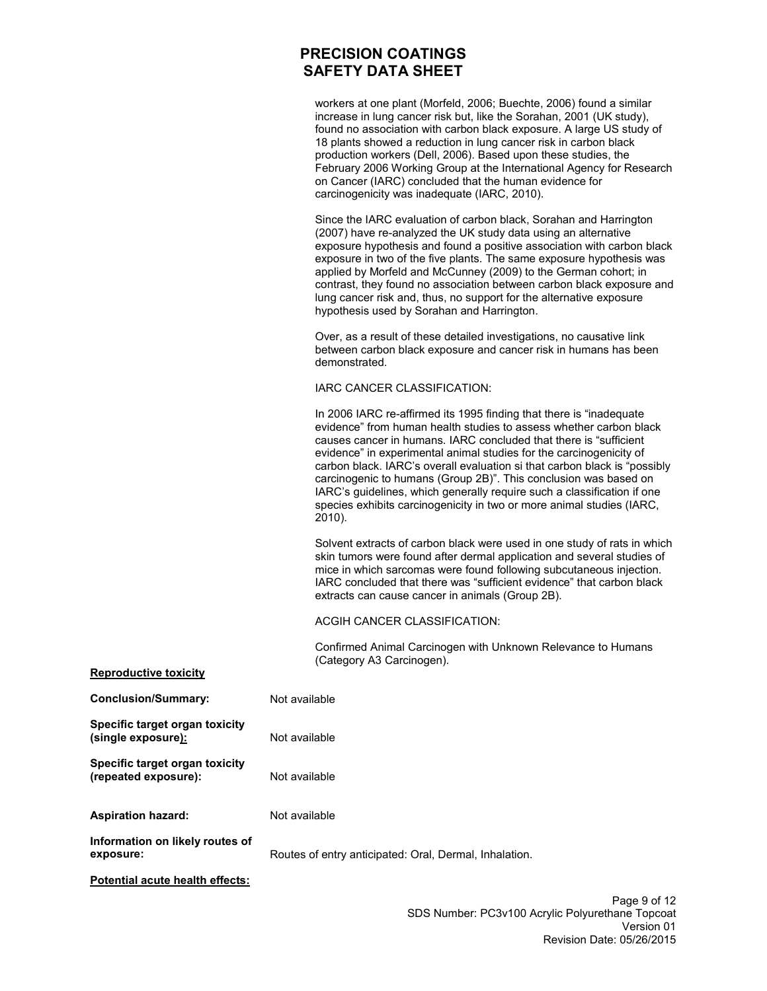workers at one plant (Morfeld, 2006; Buechte, 2006) found a similar increase in lung cancer risk but, like the Sorahan, 2001 (UK study), found no association with carbon black exposure. A large US study of 18 plants showed a reduction in lung cancer risk in carbon black production workers (Dell, 2006). Based upon these studies, the February 2006 Working Group at the International Agency for Research on Cancer (IARC) concluded that the human evidence for carcinogenicity was inadequate (IARC, 2010).

Since the IARC evaluation of carbon black, Sorahan and Harrington (2007) have re-analyzed the UK study data using an alternative exposure hypothesis and found a positive association with carbon black exposure in two of the five plants. The same exposure hypothesis was applied by Morfeld and McCunney (2009) to the German cohort; in contrast, they found no association between carbon black exposure and lung cancer risk and, thus, no support for the alternative exposure hypothesis used by Sorahan and Harrington.

Over, as a result of these detailed investigations, no causative link between carbon black exposure and cancer risk in humans has been demonstrated.

#### IARC CANCER CLASSIFICATION:

In 2006 IARC re-affirmed its 1995 finding that there is "inadequate evidence" from human health studies to assess whether carbon black causes cancer in humans. IARC concluded that there is "sufficient evidence" in experimental animal studies for the carcinogenicity of carbon black. IARC's overall evaluation si that carbon black is "possibly carcinogenic to humans (Group 2B)". This conclusion was based on IARC's guidelines, which generally require such a classification if one species exhibits carcinogenicity in two or more animal studies (IARC, 2010).

Solvent extracts of carbon black were used in one study of rats in which skin tumors were found after dermal application and several studies of mice in which sarcomas were found following subcutaneous injection. IARC concluded that there was "sufficient evidence" that carbon black extracts can cause cancer in animals (Group 2B).

ACGIH CANCER CLASSIFICATION:

Confirmed Animal Carcinogen with Unknown Relevance to Humans (Category A3 Carcinogen).

| <b>Conclusion/Summary:</b>                                          | Not available                                          |
|---------------------------------------------------------------------|--------------------------------------------------------|
| <b>Specific target organ toxicity</b><br>(single exposure <u>):</u> | Not available                                          |
| Specific target organ toxicity<br>(repeated exposure):              | Not available                                          |
| <b>Aspiration hazard:</b>                                           | Not available                                          |
| Information on likely routes of<br>exposure:                        | Routes of entry anticipated: Oral, Dermal, Inhalation. |
|                                                                     |                                                        |

**Potential acute health effects:**

**Reproductive toxicity**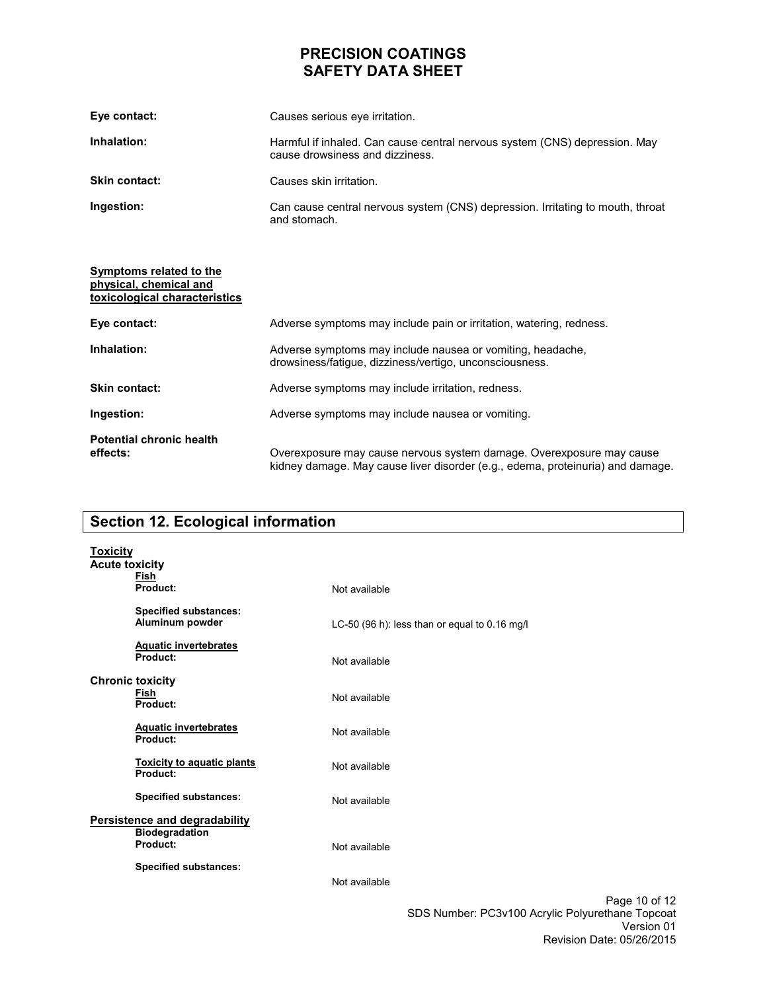| Eye contact:         | Causes serious eve irritation.                                                                                |
|----------------------|---------------------------------------------------------------------------------------------------------------|
| Inhalation:          | Harmful if inhaled. Can cause central nervous system (CNS) depression. May<br>cause drowsiness and dizziness. |
| <b>Skin contact:</b> | Causes skin irritation.                                                                                       |
| Ingestion:           | Can cause central nervous system (CNS) depression. Irritating to mouth, throat<br>and stomach.                |

| Symptoms related to the<br>physical, chemical and<br>toxicological characteristics |                                                                                                                                                        |
|------------------------------------------------------------------------------------|--------------------------------------------------------------------------------------------------------------------------------------------------------|
| Eye contact:                                                                       | Adverse symptoms may include pain or irritation, watering, redness.                                                                                    |
| Inhalation:                                                                        | Adverse symptoms may include nausea or vomiting, headache,<br>drowsiness/fatique, dizziness/vertigo, unconsciousness.                                  |
| Skin contact:                                                                      | Adverse symptoms may include irritation, redness.                                                                                                      |
| Ingestion:                                                                         | Adverse symptoms may include nausea or vomiting.                                                                                                       |
| <b>Potential chronic health</b><br>effects:                                        | Overexposure may cause nervous system damage. Overexposure may cause<br>kidney damage. May cause liver disorder (e.g., edema, proteinuria) and damage. |

# **Section 12. Ecological information**

| <b>Toxicity</b><br><b>Acute toxicity</b> | Fish                                                   |                                               |               |
|------------------------------------------|--------------------------------------------------------|-----------------------------------------------|---------------|
|                                          | Product:                                               | Not available                                 |               |
|                                          | <b>Specified substances:</b><br>Aluminum powder        | LC-50 (96 h): less than or equal to 0.16 mg/l |               |
|                                          | <b>Aquatic invertebrates</b><br>Product:               | Not available                                 |               |
|                                          | <b>Chronic toxicity</b><br>Fish<br>Product:            | Not available                                 |               |
|                                          | <b>Aquatic invertebrates</b><br>Product:               | Not available                                 |               |
|                                          | <b>Toxicity to aquatic plants</b><br>Product:          | Not available                                 |               |
|                                          | <b>Specified substances:</b>                           | Not available                                 |               |
|                                          | Persistence and degradability<br><b>Biodegradation</b> |                                               |               |
|                                          | Product:                                               | Not available                                 |               |
|                                          | <b>Specified substances:</b>                           | Not available                                 |               |
|                                          |                                                        |                                               | Page 10 of 12 |

Page 10 of 12 SDS Number: PC3v100 Acrylic Polyurethane Topcoat Version 01 Revision Date: 05/26/2015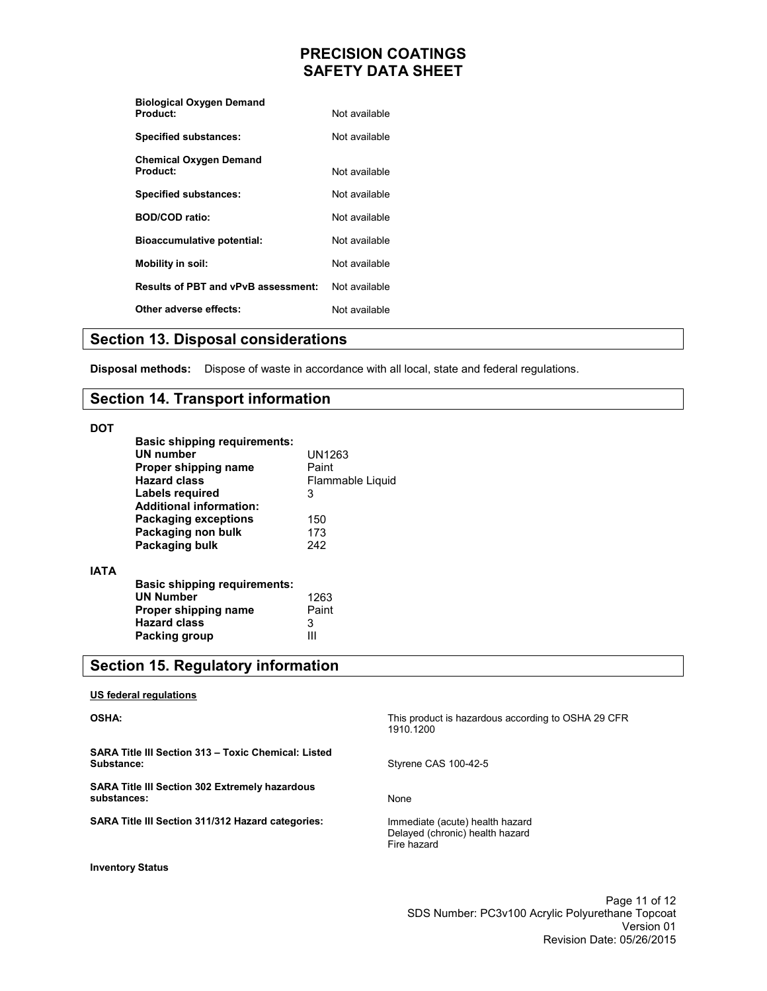| Not available |
|---------------|
| Not available |
|               |
| Not available |
| Not available |
| Not available |
| Not available |
| Not available |
| Not available |
| Not available |
|               |

## **Section 13. Disposal considerations**

**Disposal methods:** Dispose of waste in accordance with all local, state and federal regulations.

## **Section 14. Transport information**

### **DOT**

**IATA** 

| <b>Basic shipping requirements:</b><br>UN number<br>Proper shipping name<br><b>Hazard class</b><br>Labels required<br><b>Additional information:</b> | UN1263<br>Paint<br>Flammable Liquid<br>3 |
|------------------------------------------------------------------------------------------------------------------------------------------------------|------------------------------------------|
| <b>Packaging exceptions</b><br>Packaging non bulk<br>Packaging bulk                                                                                  | 150<br>173<br>242                        |
| <b>Basic shipping requirements:</b><br><b>UN Number</b><br>Proper shipping name<br><b>Hazard class</b><br>Packing group                              | 1263<br>Paint<br>3                       |

# **Section 15. Regulatory information**

### **US federal regulations**

### **OSHA:**

**SARA Title III Section 313 – Toxic Chemical: Listed Substance:** 

**SARA Title III Section 302 Extremely hazardous substances:** 

**SARA Title III Section 311/312 Hazard categories:** 

**Inventory Status** 

This product is hazardous according to OSHA 29 CFR 1910.1200

Styrene CAS 100-42-5

None

Immediate (acute) health hazard Delayed (chronic) health hazard Fire hazard

> Page 11 of 12 SDS Number: PC3v100 Acrylic Polyurethane Topcoat Version 01 Revision Date: 05/26/2015